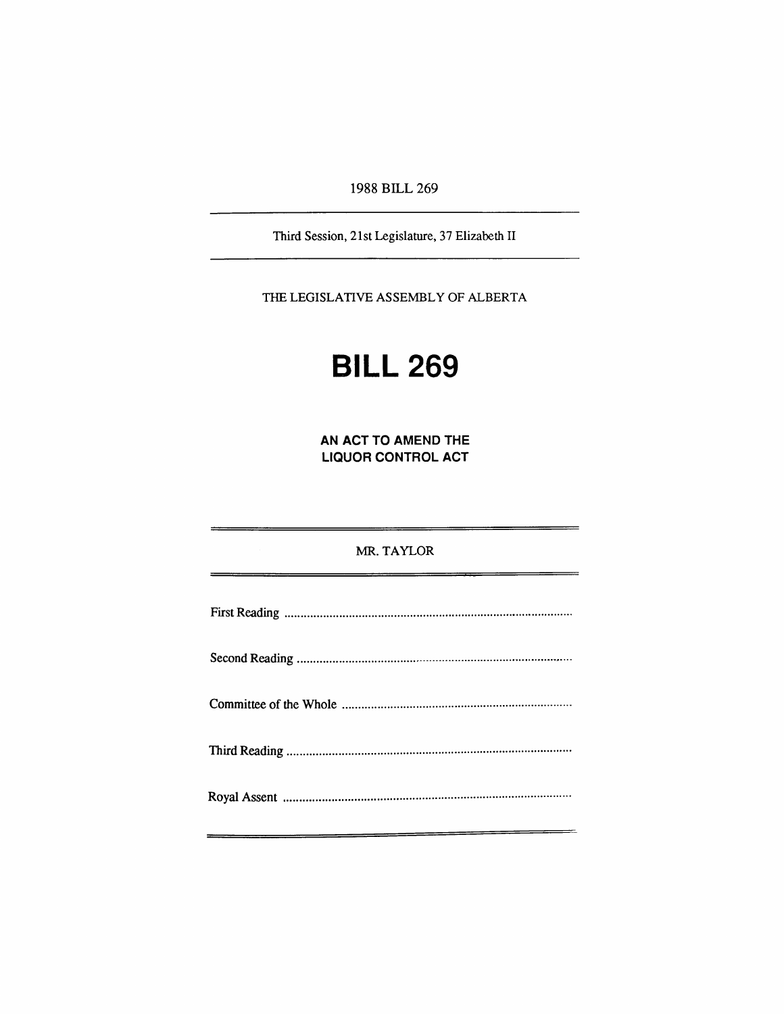1988 BILL 269

Third Session, 21st Legislature, 37 Elizabeth II

THE LEGISLATIVE ASSEMBLY OF ALBERTA

# **BILL 269**

**AN ACT TO AMEND THE LIQUOR CONTROL ACT** 

MR. TAYLOR Fkst Reading , Second Reading Committee of the Whole Thkd Reading Royal Assent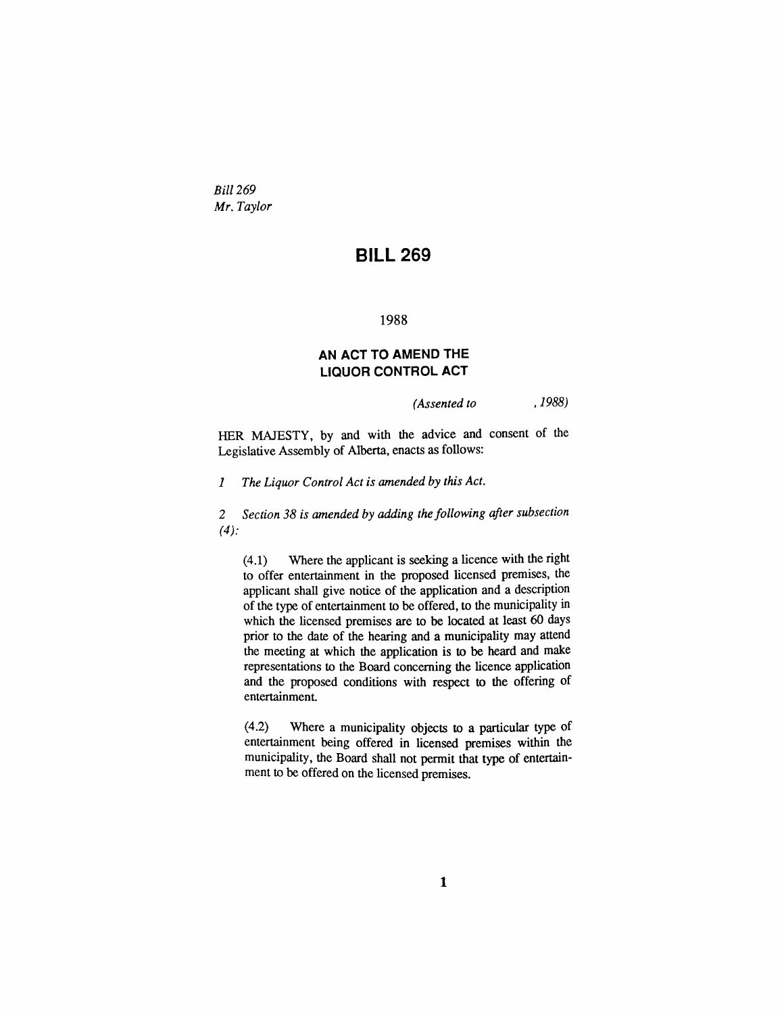*Bill 269 Mr. Taylor* 

## **BILL 269**

#### 1988

### **AN ACT TO AMEND THE LIQUOR CONTROL ACT**

*(Assented to . 1988)* 

HER MAJESTY, by and with the advice and consent of the Legislative Assembly of Alberta, enacts as follows:

*1 The Liquor Control Act is amended by this Act.* 

*2 Section 38 is amended by adding the following after subsection (4):* 

 $(4.1)$  Where the applicant is seeking a licence with the right to offer entertainment in the proposed licensed premises, the applicant shaU give notice of the application and a description of the type of entertainment to be offered, to die municipality in which the licensed premises are to be located at least 60 days prior to the date of the hearing and a municipahty may attend the meeting at which die application is to be heard and make representations to the Board concerning the licence application and the proposed conditions with respect to the offering of entertainment

(4.2) Where a municipahty objects to a particular type of entertainment being offered in licensed premises within the municipality, the Board shall not permit that type of entertainment to be offered on the licensed premises.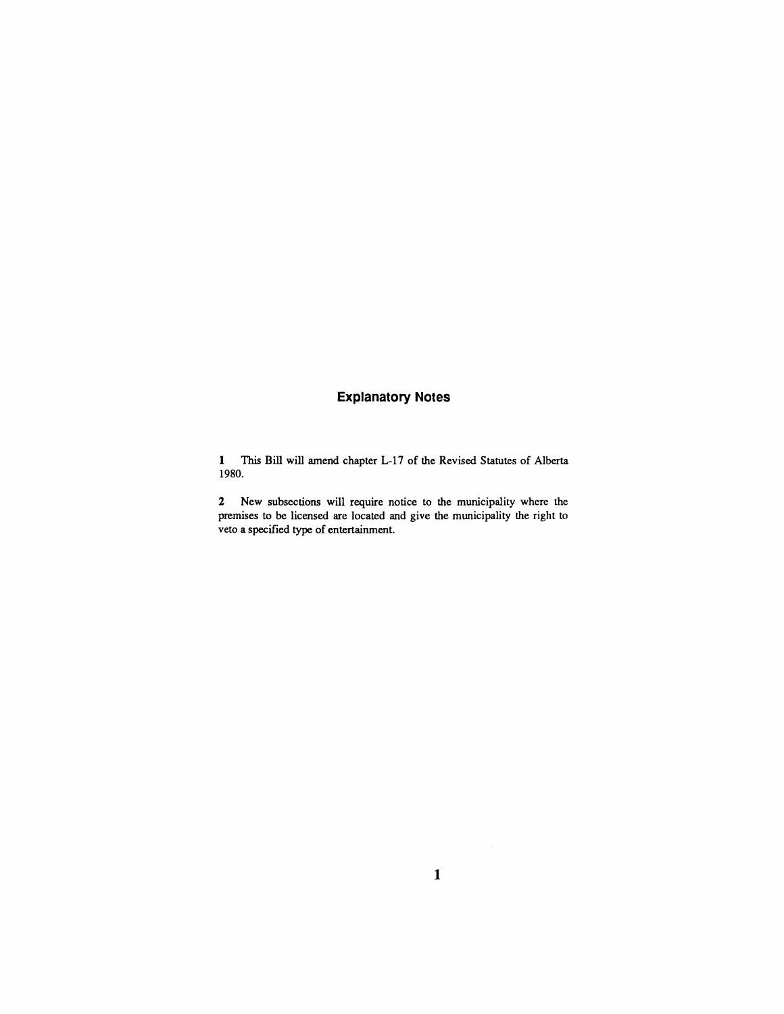## **Explanatory Notes**

1 This Bill will amend chapter L-17 of the Revised Statutes of Alberta 1980.

2 New subsections will require notice to the municipality where the premises to be licensed are located and give the municipality the right to veto a specified type of entertainment.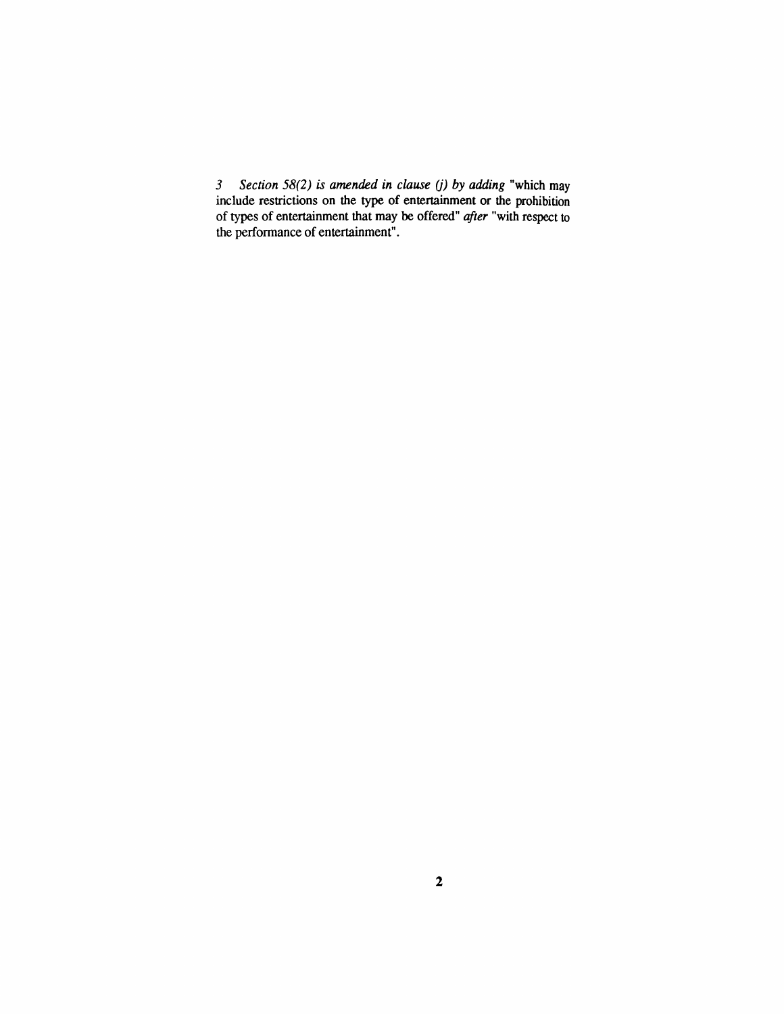*3 Section 58(2) is amended in clause (j) by adding* "which may include restrictions on the type of entertainment or die prohibition of types of entertainment that may be offered" *after* "widi respect to the performance of entertainment".